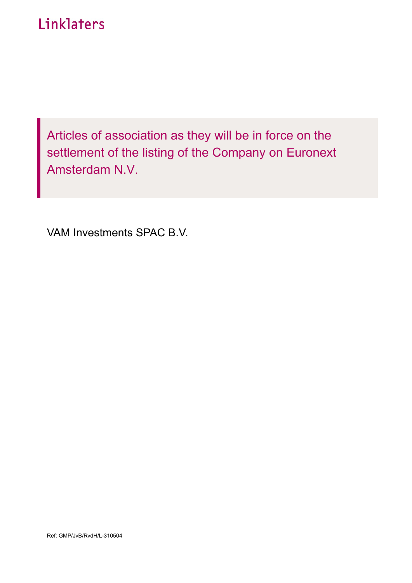# Linklaters

Articles of association as they will be in force on the settlement of the listing of the Company on Euronext Amsterdam N.V.

VAM Investments SPAC B.V.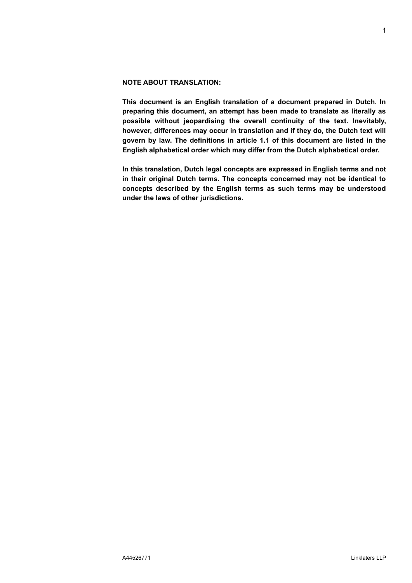# **NOTE ABOUT TRANSLATION:**

**This document is an English translation of a document prepared in Dutch. In preparing this document, an attempt has been made to translate as literally as possible without jeopardising the overall continuity of the text. Inevitably, however, differences may occur in translation and if they do, the Dutch text will govern by law. The definitions in article 1.1 of this document are listed in the English alphabetical order which may differ from the Dutch alphabetical order.**

**In this translation, Dutch legal concepts are expressed in English terms and not in their original Dutch terms. The concepts concerned may not be identical to concepts described by the English terms as such terms may be understood under the laws of other jurisdictions.**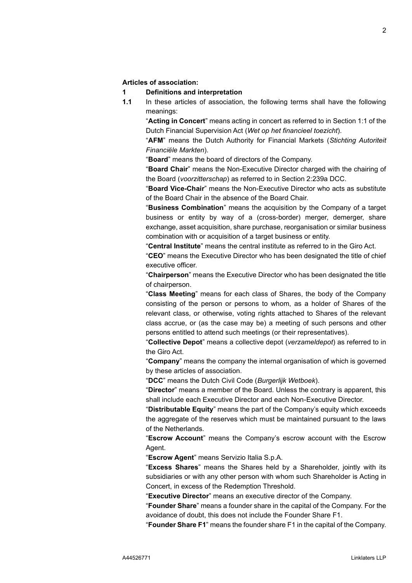## **Articles of association:**

## **1 Definitions and interpretation**

**1.1** In these articles of association, the following terms shall have the following meanings:

"**Acting in Concert**" means acting in concert as referred to in Section 1:1 of the Dutch Financial Supervision Act (*Wet op het financieel toezicht*).

"**AFM**" means the Dutch Authority for Financial Markets (*Stichting Autoriteit Financiële Markten*).

"**Board**" means the board of directors of the Company.

"**Board Chair**" means the Non-Executive Director charged with the chairing of the Board (*voorzitterschap*) as referred to in Section 2:239a DCC.

"**Board Vice-Chair**" means the Non-Executive Director who acts as substitute of the Board Chair in the absence of the Board Chair.

"**Business Combination**" means the acquisition by the Company of a target business or entity by way of a (cross-border) merger, demerger, share exchange, asset acquisition, share purchase, reorganisation or similar business combination with or acquisition of a target business or entity.

"**Central Institute**" means the central institute as referred to in the Giro Act.

"**CEO**" means the Executive Director who has been designated the title of chief executive officer.

"**Chairperson**" means the Executive Director who has been designated the title of chairperson.

"**Class Meeting**" means for each class of Shares, the body of the Company consisting of the person or persons to whom, as a holder of Shares of the relevant class, or otherwise, voting rights attached to Shares of the relevant class accrue, or (as the case may be) a meeting of such persons and other persons entitled to attend such meetings (or their representatives).

"**Collective Depot**" means a collective depot (*verzameldepot*) as referred to in the Giro Act.

"**Company**" means the company the internal organisation of which is governed by these articles of association.

"**DCC**" means the Dutch Civil Code (*Burgerlijk Wetboek*).

"**Director**" means a member of the Board. Unless the contrary is apparent, this shall include each Executive Director and each Non-Executive Director.

"**Distributable Equity**" means the part of the Company's equity which exceeds the aggregate of the reserves which must be maintained pursuant to the laws of the Netherlands.

"**Escrow Account**" means the Company's escrow account with the Escrow Agent.

"**Escrow Agent**" means Servizio Italia S.p.A.

"**Excess Shares**" means the Shares held by a Shareholder, jointly with its subsidiaries or with any other person with whom such Shareholder is Acting in Concert, in excess of the Redemption Threshold.

"**Executive Director**" means an executive director of the Company.

"**Founder Share**" means a founder share in the capital of the Company. For the avoidance of doubt, this does not include the Founder Share F1.

"**Founder Share F1**" means the founder share F1 in the capital of the Company.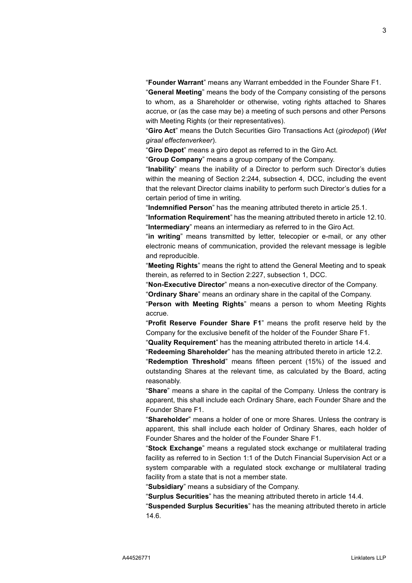"**Founder Warrant**" means any Warrant embedded in the Founder Share F1. "**General Meeting**" means the body of the Company consisting of the persons to whom, as a Shareholder or otherwise, voting rights attached to Shares accrue, or (as the case may be) a meeting of such persons and other Persons with Meeting Rights (or their representatives).

"**Giro Act**" means the Dutch Securities Giro Transactions Act (*girodepot*) (*Wet giraal effectenverkeer*).

"**Giro Depot**" means a giro depot as referred to in the Giro Act.

"**Group Company**" means a group company of the Company.

"**Inability**" means the inability of a Director to perform such Director's duties within the meaning of Section 2:244, subsection 4, DCC, including the event that the relevant Director claims inability to perform such Director's duties for a certain period of time in writing.

"**Indemnified Person**" has the meaning attributed thereto in article [25.1.](#page-12-0)

"**Information Requirement**" has the meaning attributed thereto in article [12.10.](#page-7-0) "**Intermediary**" means an intermediary as referred to in the Giro Act.

"**in writing**" means transmitted by letter, telecopier or e-mail, or any other electronic means of communication, provided the relevant message is legible and reproducible.

"**Meeting Rights**" means the right to attend the General Meeting and to speak therein, as referred to in Section 2:227, subsection 1, DCC.

"**Non-Executive Director**" means a non-executive director of the Company.

"**Ordinary Share**" means an ordinary share in the capital of the Company.

"**Person with Meeting Rights**" means a person to whom Meeting Rights accrue.

"**Profit Reserve Founder Share F1**" means the profit reserve held by the Company for the exclusive benefit of the holder of the Founder Share F1.

"**Quality Requirement**" has the meaning attributed thereto in article [14.4.](#page-8-0)

"**Redeeming Shareholder**" has the meaning attributed thereto in article [12.2.](#page-7-1)

"**Redemption Threshold**" means fifteen percent (15%) of the issued and outstanding Shares at the relevant time, as calculated by the Board, acting reasonably.

"**Share**" means a share in the capital of the Company. Unless the contrary is apparent, this shall include each Ordinary Share, each Founder Share and the Founder Share F1.

"**Shareholder**" means a holder of one or more Shares. Unless the contrary is apparent, this shall include each holder of Ordinary Shares, each holder of Founder Shares and the holder of the Founder Share F1.

"**Stock Exchange**" means a regulated stock exchange or multilateral trading facility as referred to in Section 1:1 of the Dutch Financial Supervision Act or a system comparable with a regulated stock exchange or multilateral trading facility from a state that is not a member state.

"**Subsidiary**" means a subsidiary of the Company.

"**Surplus Securities**" has the meaning attributed thereto in article [14.4.](#page-8-0)

"**Suspended Surplus Securities**" has the meaning attributed thereto in article [14.6.](#page-8-1)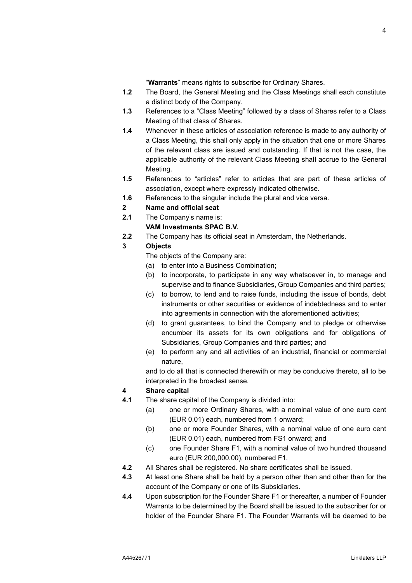"**Warrants**" means rights to subscribe for Ordinary Shares.

- **1.2** The Board, the General Meeting and the Class Meetings shall each constitute a distinct body of the Company.
- **1.3** References to a "Class Meeting" followed by a class of Shares refer to a Class Meeting of that class of Shares.
- **1.4** Whenever in these articles of association reference is made to any authority of a Class Meeting, this shall only apply in the situation that one or more Shares of the relevant class are issued and outstanding. If that is not the case, the applicable authority of the relevant Class Meeting shall accrue to the General Meeting.
- **1.5** References to "articles" refer to articles that are part of these articles of association, except where expressly indicated otherwise.
- **1.6** References to the singular include the plural and vice versa.
- **2 Name and official seat**
- **2.1** The Company's name is:

## **VAM Investments SPAC B.V.**

**2.2** The Company has its official seat in Amsterdam, the Netherlands.

## **3 Objects**

The objects of the Company are:

- (a) to enter into a Business Combination;
- (b) to incorporate, to participate in any way whatsoever in, to manage and supervise and to finance Subsidiaries, Group Companies and third parties;
- (c) to borrow, to lend and to raise funds, including the issue of bonds, debt instruments or other securities or evidence of indebtedness and to enter into agreements in connection with the aforementioned activities;
- (d) to grant guarantees, to bind the Company and to pledge or otherwise encumber its assets for its own obligations and for obligations of Subsidiaries, Group Companies and third parties; and
- (e) to perform any and all activities of an industrial, financial or commercial nature,

and to do all that is connected therewith or may be conducive thereto, all to be interpreted in the broadest sense.

# **4 Share capital**

- **4.1** The share capital of the Company is divided into:
	- (a) one or more Ordinary Shares, with a nominal value of one euro cent (EUR 0.01) each, numbered from 1 onward;
	- (b) one or more Founder Shares, with a nominal value of one euro cent (EUR 0.01) each, numbered from FS1 onward; and
	- (c) one Founder Share F1, with a nominal value of two hundred thousand euro (EUR 200,000.00), numbered F1.
- **4.2** All Shares shall be registered. No share certificates shall be issued.
- **4.3** At least one Share shall be held by a person other than and other than for the account of the Company or one of its Subsidiaries.
- **4.4** Upon subscription for the Founder Share F1 or thereafter, a number of Founder Warrants to be determined by the Board shall be issued to the subscriber for or holder of the Founder Share F1. The Founder Warrants will be deemed to be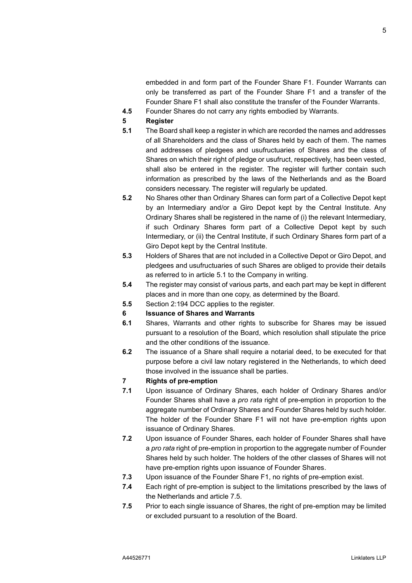embedded in and form part of the Founder Share F1. Founder Warrants can only be transferred as part of the Founder Share F1 and a transfer of the Founder Share F1 shall also constitute the transfer of the Founder Warrants.

- **4.5** Founder Shares do not carry any rights embodied by Warrants.
- <span id="page-5-4"></span>**5 Register**
- <span id="page-5-0"></span>**5.1** The Board shall keep a register in which are recorded the names and addresses of all Shareholders and the class of Shares held by each of them. The names and addresses of pledgees and usufructuaries of Shares and the class of Shares on which their right of pledge or usufruct, respectively, has been vested, shall also be entered in the register. The register will further contain such information as prescribed by the laws of the Netherlands and as the Board considers necessary. The register will regularly be updated.
- **5.2** No Shares other than Ordinary Shares can form part of a Collective Depot kept by an Intermediary and/or a Giro Depot kept by the Central Institute. Any Ordinary Shares shall be registered in the name of (i) the relevant Intermediary, if such Ordinary Shares form part of a Collective Depot kept by such Intermediary, or (ii) the Central Institute, if such Ordinary Shares form part of a Giro Depot kept by the Central Institute.
- **5.3** Holders of Shares that are not included in a Collective Depot or Giro Depot, and pledgees and usufructuaries of such Shares are obliged to provide their details as referred to in article [5.1](#page-5-0) to the Company in writing.
- **5.4** The register may consist of various parts, and each part may be kept in different places and in more than one copy, as determined by the Board.
- **5.5** Section 2:194 DCC applies to the register.
- <span id="page-5-3"></span>**6 Issuance of Shares and Warrants**
- **6.1** Shares, Warrants and other rights to subscribe for Shares may be issued pursuant to a resolution of the Board, which resolution shall stipulate the price and the other conditions of the issuance.
- **6.2** The issuance of a Share shall require a notarial deed, to be executed for that purpose before a civil law notary registered in the Netherlands, to which deed those involved in the issuance shall be parties.
- **7 Rights of pre-emption**
- <span id="page-5-2"></span>**7.1** Upon issuance of Ordinary Shares, each holder of Ordinary Shares and/or Founder Shares shall have a *pro rata* right of pre-emption in proportion to the aggregate number of Ordinary Shares and Founder Shares held by such holder. The holder of the Founder Share F1 will not have pre-emption rights upon issuance of Ordinary Shares.
- **7.2** Upon issuance of Founder Shares, each holder of Founder Shares shall have a *pro rata* right of pre-emption in proportion to the aggregate number of Founder Shares held by such holder. The holders of the other classes of Shares will not have pre-emption rights upon issuance of Founder Shares.
- **7.3** Upon issuance of the Founder Share F1, no rights of pre-emption exist.
- **7.4** Each right of pre-emption is subject to the limitations prescribed by the laws of the Netherlands and article [7.5.](#page-5-1)
- <span id="page-5-1"></span>**7.5** Prior to each single issuance of Shares, the right of pre-emption may be limited or excluded pursuant to a resolution of the Board.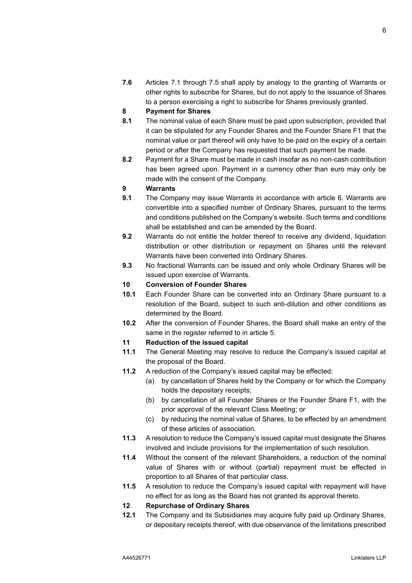**7.6** Articles [7.1](#page-5-2) through [7.5](#page-5-1) shall apply by analogy to the granting of Warrants or other rights to subscribe for Shares, but do not apply to the issuance of Shares to a person exercising a right to subscribe for Shares previously granted.

# **8 Payment for Shares**

- **8.1** The nominal value of each Share must be paid upon subscription, provided that it can be stipulated for any Founder Shares and the Founder Share F1 that the nominal value or part thereof will only have to be paid on the expiry of a certain period or after the Company has requested that such payment be made.
- **8.2** Payment for a Share must be made in cash insofar as no non-cash contribution has been agreed upon. Payment in a currency other than euro may only be made with the consent of the Company.

## **9 Warrants**

- **9.1** The Company may issue Warrants in accordance with article [6.](#page-5-3) Warrants are convertible into a specified number of Ordinary Shares, pursuant to the terms and conditions published on the Company's website. Such terms and conditions shall be established and can be amended by the Board.
- **9.2** Warrants do not entitle the holder thereof to receive any dividend, liquidation distribution or other distribution or repayment on Shares until the relevant Warrants have been converted into Ordinary Shares.
- **9.3** No fractional Warrants can be issued and only whole Ordinary Shares will be issued upon exercise of Warrants.

# **10 Conversion of Founder Shares**

- **10.1** Each Founder Share can be converted into an Ordinary Share pursuant to a resolution of the Board, subject to such anti-dilution and other conditions as determined by the Board.
- **10.2** After the conversion of Founder Shares, the Board shall make an entry of the same in the register referred to in article [5.](#page-5-4)

# **11 Reduction of the issued capital**

- **11.1** The General Meeting may resolve to reduce the Company's issued capital at the proposal of the Board.
- **11.2** A reduction of the Company's issued capital may be effected:
	- (a) by cancellation of Shares held by the Company or for which the Company holds the depositary receipts;
	- (b) by cancellation of all Founder Shares or the Founder Share F1, with the prior approval of the relevant Class Meeting; or
	- (c) by reducing the nominal value of Shares, to be effected by an amendment of these articles of association.
- **11.3** A resolution to reduce the Company's issued capital must designate the Shares involved and include provisions for the implementation of such resolution.
- **11.4** Without the consent of the relevant Shareholders, a reduction of the nominal value of Shares with or without (partial) repayment must be effected in proportion to all Shares of that particular class.
- **11.5** A resolution to reduce the Company's issued capital with repayment will have no effect for as long as the Board has not granted its approval thereto.

## <span id="page-6-0"></span>**12 Repurchase of Ordinary Shares**

**12.1** The Company and its Subsidiaries may acquire fully paid up Ordinary Shares, or depositary receipts thereof, with due observance of the limitations prescribed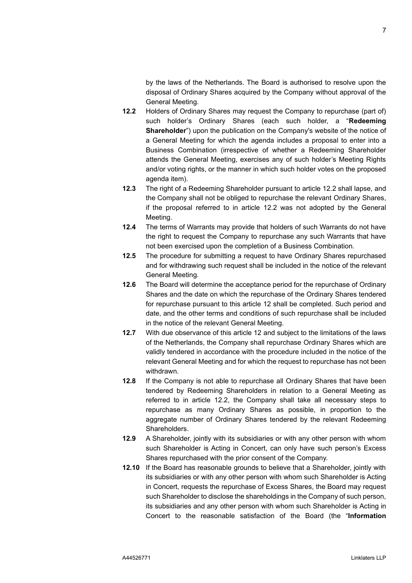by the laws of the Netherlands. The Board is authorised to resolve upon the disposal of Ordinary Shares acquired by the Company without approval of the General Meeting.

- <span id="page-7-1"></span>**12.2** Holders of Ordinary Shares may request the Company to repurchase (part of) such holder's Ordinary Shares (each such holder, a "**Redeeming Shareholder**") upon the publication on the Company's website of the notice of a General Meeting for which the agenda includes a proposal to enter into a Business Combination (irrespective of whether a Redeeming Shareholder attends the General Meeting, exercises any of such holder's Meeting Rights and/or voting rights, or the manner in which such holder votes on the proposed agenda item).
- **12.3** The right of a Redeeming Shareholder pursuant to article [12.2](#page-7-1) shall lapse, and the Company shall not be obliged to repurchase the relevant Ordinary Shares, if the proposal referred to in article [12.2](#page-7-1) was not adopted by the General Meeting.
- **12.4** The terms of Warrants may provide that holders of such Warrants do not have the right to request the Company to repurchase any such Warrants that have not been exercised upon the completion of a Business Combination.
- **12.5** The procedure for submitting a request to have Ordinary Shares repurchased and for withdrawing such request shall be included in the notice of the relevant General Meeting.
- **12.6** The Board will determine the acceptance period for the repurchase of Ordinary Shares and the date on which the repurchase of the Ordinary Shares tendered for repurchase pursuant to this article [12](#page-6-0) shall be completed. Such period and date, and the other terms and conditions of such repurchase shall be included in the notice of the relevant General Meeting.
- **12.7** With due observance of this article 12 and subject to the limitations of the laws of the Netherlands, the Company shall repurchase Ordinary Shares which are validly tendered in accordance with the procedure included in the notice of the relevant General Meeting and for which the request to repurchase has not been withdrawn.
- **12.8** If the Company is not able to repurchase all Ordinary Shares that have been tendered by Redeeming Shareholders in relation to a General Meeting as referred to in article [12.2,](#page-7-1) the Company shall take all necessary steps to repurchase as many Ordinary Shares as possible, in proportion to the aggregate number of Ordinary Shares tendered by the relevant Redeeming Shareholders.
- **12.9** A Shareholder, jointly with its subsidiaries or with any other person with whom such Shareholder is Acting in Concert, can only have such person's Excess Shares repurchased with the prior consent of the Company.
- <span id="page-7-0"></span>**12.10** If the Board has reasonable grounds to believe that a Shareholder, jointly with its subsidiaries or with any other person with whom such Shareholder is Acting in Concert, requests the repurchase of Excess Shares, the Board may request such Shareholder to disclose the shareholdings in the Company of such person, its subsidiaries and any other person with whom such Shareholder is Acting in Concert to the reasonable satisfaction of the Board (the "**Information**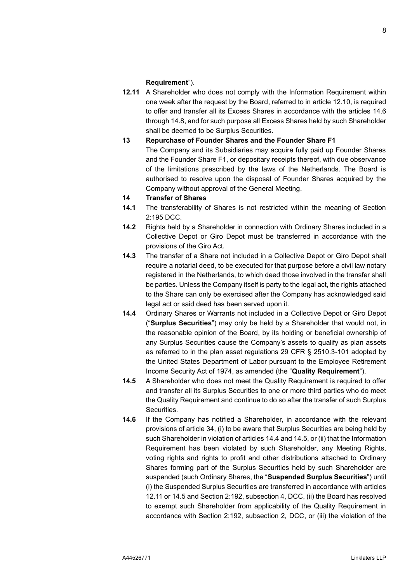#### **Requirement**").

<span id="page-8-3"></span>**12.11** A Shareholder who does not comply with the Information Requirement within one week after the request by the Board, referred to in article [12.10,](#page-7-0) is required to offer and transfer all its Excess Shares in accordance with the articles [14.6](#page-8-1) through [14.8,](#page-9-0) and for such purpose all Excess Shares held by such Shareholder shall be deemed to be Surplus Securities.

## **13 Repurchase of Founder Shares and the Founder Share F1**

The Company and its Subsidiaries may acquire fully paid up Founder Shares and the Founder Share F1, or depositary receipts thereof, with due observance of the limitations prescribed by the laws of the Netherlands. The Board is authorised to resolve upon the disposal of Founder Shares acquired by the Company without approval of the General Meeting.

## **14 Transfer of Shares**

- <span id="page-8-4"></span>**14.1** The transferability of Shares is not restricted within the meaning of Section 2:195 DCC.
- **14.2** Rights held by a Shareholder in connection with Ordinary Shares included in a Collective Depot or Giro Depot must be transferred in accordance with the provisions of the Giro Act.
- <span id="page-8-5"></span>**14.3** The transfer of a Share not included in a Collective Depot or Giro Depot shall require a notarial deed, to be executed for that purpose before a civil law notary registered in the Netherlands, to which deed those involved in the transfer shall be parties. Unless the Company itself is party to the legal act, the rights attached to the Share can only be exercised after the Company has acknowledged said legal act or said deed has been served upon it.
- <span id="page-8-0"></span>**14.4** Ordinary Shares or Warrants not included in a Collective Depot or Giro Depot ("**Surplus Securities**") may only be held by a Shareholder that would not, in the reasonable opinion of the Board, by its holding or beneficial ownership of any Surplus Securities cause the Company's assets to qualify as plan assets as referred to in the plan asset regulations 29 CFR § 2510.3-101 adopted by the United States Department of Labor pursuant to the Employee Retirement Income Security Act of 1974, as amended (the "**Quality Requirement**").
- <span id="page-8-2"></span>**14.5** A Shareholder who does not meet the Quality Requirement is required to offer and transfer all its Surplus Securities to one or more third parties who do meet the Quality Requirement and continue to do so after the transfer of such Surplus Securities.
- <span id="page-8-1"></span>**14.6** If the Company has notified a Shareholder, in accordance with the relevant provisions of article [34,](#page-16-0) (i) to be aware that Surplus Securities are being held by such Shareholder in violation of articles [14.4](#page-8-0) an[d 14.5,](#page-8-2) or (ii) that the Information Requirement has been violated by such Shareholder, any Meeting Rights, voting rights and rights to profit and other distributions attached to Ordinary Shares forming part of the Surplus Securities held by such Shareholder are suspended (such Ordinary Shares, the "**Suspended Surplus Securities**") until (i) the Suspended Surplus Securities are transferred in accordance with articles [12.11](#page-8-3) or [14.5](#page-8-2) and Section 2:192, subsection 4, DCC, (ii) the Board has resolved to exempt such Shareholder from applicability of the Quality Requirement in accordance with Section 2:192, subsection 2, DCC, or (iii) the violation of the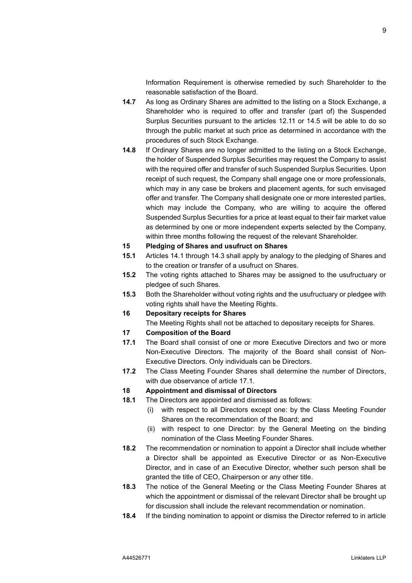Information Requirement is otherwise remedied by such Shareholder to the reasonable satisfaction of the Board.

- **14.7** As long as Ordinary Shares are admitted to the listing on a Stock Exchange, a Shareholder who is required to offer and transfer (part of) the Suspended Surplus Securities pursuant to the articles [12.11](#page-8-3) or [14.5](#page-8-2) will be able to do so through the public market at such price as determined in accordance with the procedures of such Stock Exchange.
- <span id="page-9-0"></span>**14.8** If Ordinary Shares are no longer admitted to the listing on a Stock Exchange, the holder of Suspended Surplus Securities may request the Company to assist with the required offer and transfer of such Suspended Surplus Securities. Upon receipt of such request, the Company shall engage one or more professionals, which may in any case be brokers and placement agents, for such envisaged offer and transfer. The Company shall designate one or more interested parties, which may include the Company, who are willing to acquire the offered Suspended Surplus Securities for a price at least equal to their fair market value as determined by one or more independent experts selected by the Company, within three months following the request of the relevant Shareholder.

#### **15 Pledging of Shares and usufruct on Shares**

- **15.1** Articles [14.1](#page-8-4) through [14.3](#page-8-5) shall apply by analogy to the pledging of Shares and to the creation or transfer of a usufruct on Shares.
- **15.2** The voting rights attached to Shares may be assigned to the usufructuary or pledgee of such Shares.
- **15.3** Both the Shareholder without voting rights and the usufructuary or pledgee with voting rights shall have the Meeting Rights.

# **16 Depositary receipts for Shares**

The Meeting Rights shall not be attached to depositary receipts for Shares.

## **17 Composition of the Board**

- <span id="page-9-1"></span>**17.1** The Board shall consist of one or more Executive Directors and two or more Non-Executive Directors. The majority of the Board shall consist of Non-Executive Directors. Only individuals can be Directors.
- **17.2** The Class Meeting Founder Shares shall determine the number of Directors, with due observance of article [17.1.](#page-9-1)

#### **18 Appointment and dismissal of Directors**

- <span id="page-9-3"></span>**18.1** The Directors are appointed and dismissed as follows:
	- (i) with respect to all Directors except one: by the Class Meeting Founder Shares on the recommendation of the Board; and
	- (ii) with respect to one Director: by the General Meeting on the binding nomination of the Class Meeting Founder Shares.
- <span id="page-9-2"></span>**18.2** The recommendation or nomination to appoint a Director shall include whether a Director shall be appointed as Executive Director or as Non-Executive Director, and in case of an Executive Director, whether such person shall be granted the title of CEO, Chairperson or any other title.
- **18.3** The notice of the General Meeting or the Class Meeting Founder Shares at which the appointment or dismissal of the relevant Director shall be brought up for discussion shall include the relevant recommendation or nomination.
- **18.4** If the binding nomination to appoint or dismiss the Director referred to in article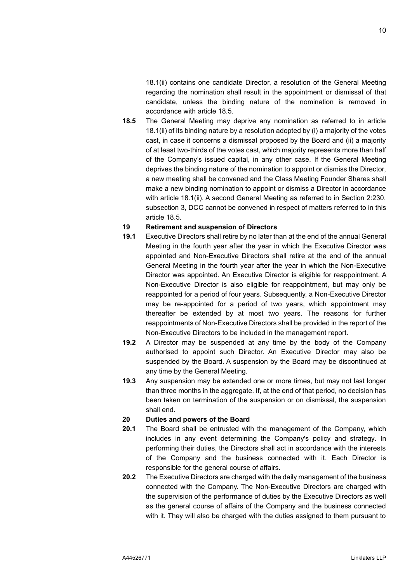[18.1\(ii\)](#page-9-2) contains one candidate Director, a resolution of the General Meeting regarding the nomination shall result in the appointment or dismissal of that candidate, unless the binding nature of the nomination is removed in accordance with article [18.5.](#page-10-0)

<span id="page-10-0"></span>**18.5** The General Meeting may deprive any nomination as referred to in article [18.1\(](#page-9-3)ii) of its binding nature by a resolution adopted by (i) a majority of the votes cast, in case it concerns a dismissal proposed by the Board and (ii) a majority of at least two-thirds of the votes cast, which majority represents more than half of the Company's issued capital, in any other case. If the General Meeting deprives the binding nature of the nomination to appoint or dismiss the Director, a new meeting shall be convened and the Class Meeting Founder Shares shall make a new binding nomination to appoint or dismiss a Director in accordance with article [18.1\(](#page-9-3)ii). A second General Meeting as referred to in Section 2:230, subsection 3, DCC cannot be convened in respect of matters referred to in this article [18.5.](#page-10-0)

## **19 Retirement and suspension of Directors**

- **19.1** Executive Directors shall retire by no later than at the end of the annual General Meeting in the fourth year after the year in which the Executive Director was appointed and Non-Executive Directors shall retire at the end of the annual General Meeting in the fourth year after the year in which the Non-Executive Director was appointed. An Executive Director is eligible for reappointment. A Non-Executive Director is also eligible for reappointment, but may only be reappointed for a period of four years. Subsequently, a Non-Executive Director may be re-appointed for a period of two years, which appointment may thereafter be extended by at most two years. The reasons for further reappointments of Non-Executive Directors shall be provided in the report of the Non-Executive Directors to be included in the management report.
- **19.2** A Director may be suspended at any time by the body of the Company authorised to appoint such Director. An Executive Director may also be suspended by the Board. A suspension by the Board may be discontinued at any time by the General Meeting.
- **19.3** Any suspension may be extended one or more times, but may not last longer than three months in the aggregate. If, at the end of that period, no decision has been taken on termination of the suspension or on dismissal, the suspension shall end.

# **20 Duties and powers of the Board**

- **20.1** The Board shall be entrusted with the management of the Company, which includes in any event determining the Company's policy and strategy. In performing their duties, the Directors shall act in accordance with the interests of the Company and the business connected with it. Each Director is responsible for the general course of affairs.
- <span id="page-10-1"></span>**20.2** The Executive Directors are charged with the daily management of the business connected with the Company. The Non-Executive Directors are charged with the supervision of the performance of duties by the Executive Directors as well as the general course of affairs of the Company and the business connected with it. They will also be charged with the duties assigned to them pursuant to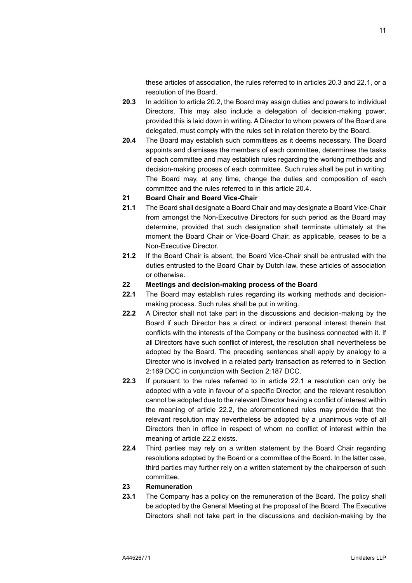these articles of association, the rules referred to in articles [20.3](#page-11-0) and [22.1,](#page-11-1) or a resolution of the Board.

- <span id="page-11-0"></span>**20.3** In addition to article [20.2,](#page-10-1) the Board may assign duties and powers to individual Directors. This may also include a delegation of decision-making power, provided this is laid down in writing. A Director to whom powers of the Board are delegated, must comply with the rules set in relation thereto by the Board.
- <span id="page-11-2"></span>**20.4** The Board may establish such committees as it deems necessary. The Board appoints and dismisses the members of each committee, determines the tasks of each committee and may establish rules regarding the working methods and decision-making process of each committee. Such rules shall be put in writing. The Board may, at any time, change the duties and composition of each committee and the rules referred to in this article [20.4.](#page-11-2)

#### **21 Board Chair and Board Vice-Chair**

- **21.1** The Board shall designate a Board Chair and may designate a Board Vice-Chair from amongst the Non-Executive Directors for such period as the Board may determine, provided that such designation shall terminate ultimately at the moment the Board Chair or Vice-Board Chair, as applicable, ceases to be a Non-Executive Director.
- **21.2** If the Board Chair is absent, the Board Vice-Chair shall be entrusted with the duties entrusted to the Board Chair by Dutch law, these articles of association or otherwise.

# **22 Meetings and decision-making process of the Board**

- <span id="page-11-1"></span>**22.1** The Board may establish rules regarding its working methods and decisionmaking process. Such rules shall be put in writing.
- <span id="page-11-3"></span>**22.2** A Director shall not take part in the discussions and decision-making by the Board if such Director has a direct or indirect personal interest therein that conflicts with the interests of the Company or the business connected with it. If all Directors have such conflict of interest, the resolution shall nevertheless be adopted by the Board. The preceding sentences shall apply by analogy to a Director who is involved in a related party transaction as referred to in Section 2:169 DCC in conjunction with Section 2:187 DCC.
- **22.3** If pursuant to the rules referred to in article [22.1](#page-11-1) a resolution can only be adopted with a vote in favour of a specific Director, and the relevant resolution cannot be adopted due to the relevant Director having a conflict of interest within the meaning of article [22.2,](#page-11-3) the aforementioned rules may provide that the relevant resolution may nevertheless be adopted by a unanimous vote of all Directors then in office in respect of whom no conflict of interest within the meaning of article [22.2](#page-11-3) exists.
- **22.4** Third parties may rely on a written statement by the Board Chair regarding resolutions adopted by the Board or a committee of the Board. In the latter case, third parties may further rely on a written statement by the chairperson of such committee.

#### **23 Remuneration**

<span id="page-11-4"></span>**23.1** The Company has a policy on the remuneration of the Board. The policy shall be adopted by the General Meeting at the proposal of the Board. The Executive Directors shall not take part in the discussions and decision-making by the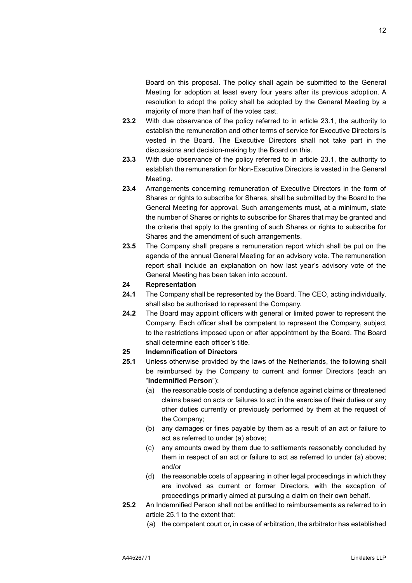Board on this proposal. The policy shall again be submitted to the General Meeting for adoption at least every four years after its previous adoption. A resolution to adopt the policy shall be adopted by the General Meeting by a majority of more than half of the votes cast.

- **23.2** With due observance of the policy referred to in article [23.1,](#page-11-4) the authority to establish the remuneration and other terms of service for Executive Directors is vested in the Board. The Executive Directors shall not take part in the discussions and decision-making by the Board on this.
- **23.3** With due observance of the policy referred to in article [23.1,](#page-11-4) the authority to establish the remuneration for Non-Executive Directors is vested in the General Meeting.
- **23.4** Arrangements concerning remuneration of Executive Directors in the form of Shares or rights to subscribe for Shares, shall be submitted by the Board to the General Meeting for approval. Such arrangements must, at a minimum, state the number of Shares or rights to subscribe for Shares that may be granted and the criteria that apply to the granting of such Shares or rights to subscribe for Shares and the amendment of such arrangements.
- **23.5** The Company shall prepare a remuneration report which shall be put on the agenda of the annual General Meeting for an advisory vote. The remuneration report shall include an explanation on how last year's advisory vote of the General Meeting has been taken into account.

# **24 Representation**

- **24.1** The Company shall be represented by the Board. The CEO, acting individually, shall also be authorised to represent the Company.
- **24.2** The Board may appoint officers with general or limited power to represent the Company. Each officer shall be competent to represent the Company, subject to the restrictions imposed upon or after appointment by the Board. The Board shall determine each officer's title.

# <span id="page-12-3"></span>**25 Indemnification of Directors**

- <span id="page-12-1"></span><span id="page-12-0"></span>**25.1** Unless otherwise provided by the laws of the Netherlands, the following shall be reimbursed by the Company to current and former Directors (each an "**Indemnified Person**"):
	- (a) the reasonable costs of conducting a defence against claims or threatened claims based on acts or failures to act in the exercise of their duties or any other duties currently or previously performed by them at the request of the Company;
	- (b) any damages or fines payable by them as a result of an act or failure to act as referred to under [\(a\)](#page-12-1) above;
	- (c) any amounts owed by them due to settlements reasonably concluded by them in respect of an act or failure to act as referred to under [\(a\)](#page-12-1) above; and/or
	- (d) the reasonable costs of appearing in other legal proceedings in which they are involved as current or former Directors, with the exception of proceedings primarily aimed at pursuing a claim on their own behalf.
- <span id="page-12-2"></span>**25.2** An Indemnified Person shall not be entitled to reimbursements as referred to in article [25.1](#page-12-0) to the extent that:
	- (a) the competent court or, in case of arbitration, the arbitrator has established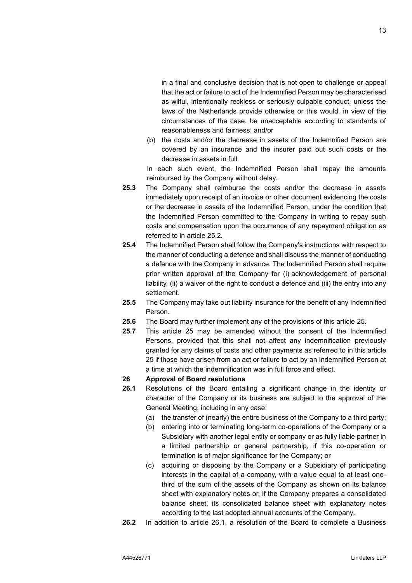in a final and conclusive decision that is not open to challenge or appeal that the act or failure to act of the Indemnified Person may be characterised as wilful, intentionally reckless or seriously culpable conduct, unless the laws of the Netherlands provide otherwise or this would, in view of the circumstances of the case, be unacceptable according to standards of

(b) the costs and/or the decrease in assets of the Indemnified Person are covered by an insurance and the insurer paid out such costs or the decrease in assets in full.

In each such event, the Indemnified Person shall repay the amounts reimbursed by the Company without delay.

**25.3** The Company shall reimburse the costs and/or the decrease in assets immediately upon receipt of an invoice or other document evidencing the costs or the decrease in assets of the Indemnified Person, under the condition that the Indemnified Person committed to the Company in writing to repay such costs and compensation upon the occurrence of any repayment obligation as referred to in article [25.2.](#page-12-2)

reasonableness and fairness; and/or

- **25.4** The Indemnified Person shall follow the Company's instructions with respect to the manner of conducting a defence and shall discuss the manner of conducting a defence with the Company in advance. The Indemnified Person shall require prior written approval of the Company for (i) acknowledgement of personal liability, (ii) a waiver of the right to conduct a defence and (iii) the entry into any settlement.
- **25.5** The Company may take out liability insurance for the benefit of any Indemnified Person.
- **25.6** The Board may further implement any of the provisions of this article [25.](#page-12-3)
- **25.7** This article [25](#page-12-3) may be amended without the consent of the Indemnified Persons, provided that this shall not affect any indemnification previously granted for any claims of costs and other payments as referred to in this article [25](#page-12-3) if those have arisen from an act or failure to act by an Indemnified Person at a time at which the indemnification was in full force and effect.

#### <span id="page-13-1"></span>**26 Approval of Board resolutions**

- <span id="page-13-0"></span>**26.1** Resolutions of the Board entailing a significant change in the identity or character of the Company or its business are subject to the approval of the General Meeting, including in any case:
	- (a) the transfer of (nearly) the entire business of the Company to a third party;
	- (b) entering into or terminating long-term co-operations of the Company or a Subsidiary with another legal entity or company or as fully liable partner in a limited partnership or general partnership, if this co-operation or termination is of major significance for the Company; or
	- (c) acquiring or disposing by the Company or a Subsidiary of participating interests in the capital of a company, with a value equal to at least onethird of the sum of the assets of the Company as shown on its balance sheet with explanatory notes or, if the Company prepares a consolidated balance sheet, its consolidated balance sheet with explanatory notes according to the last adopted annual accounts of the Company.
- **26.2** In addition to article [26.1,](#page-13-0) a resolution of the Board to complete a Business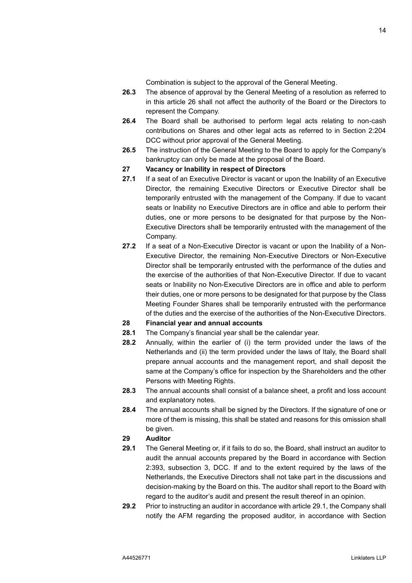Combination is subject to the approval of the General Meeting.

- **26.3** The absence of approval by the General Meeting of a resolution as referred to in this article [26](#page-13-1) shall not affect the authority of the Board or the Directors to represent the Company.
- **26.4** The Board shall be authorised to perform legal acts relating to non-cash contributions on Shares and other legal acts as referred to in Section 2:204 DCC without prior approval of the General Meeting.
- **26.5** The instruction of the General Meeting to the Board to apply for the Company's bankruptcy can only be made at the proposal of the Board.

#### **27 Vacancy or Inability in respect of Directors**

- **27.1** If a seat of an Executive Director is vacant or upon the Inability of an Executive Director, the remaining Executive Directors or Executive Director shall be temporarily entrusted with the management of the Company. If due to vacant seats or Inability no Executive Directors are in office and able to perform their duties, one or more persons to be designated for that purpose by the Non-Executive Directors shall be temporarily entrusted with the management of the Company.
- **27.2** If a seat of a Non-Executive Director is vacant or upon the Inability of a Non-Executive Director, the remaining Non-Executive Directors or Non-Executive Director shall be temporarily entrusted with the performance of the duties and the exercise of the authorities of that Non-Executive Director. If due to vacant seats or Inability no Non-Executive Directors are in office and able to perform their duties, one or more persons to be designated for that purpose by the Class Meeting Founder Shares shall be temporarily entrusted with the performance of the duties and the exercise of the authorities of the Non-Executive Directors.

## **28 Financial year and annual accounts**

- **28.1** The Company's financial year shall be the calendar year.
- **28.2** Annually, within the earlier of (i) the term provided under the laws of the Netherlands and (ii) the term provided under the laws of Italy, the Board shall prepare annual accounts and the management report, and shall deposit the same at the Company's office for inspection by the Shareholders and the other Persons with Meeting Rights.
- **28.3** The annual accounts shall consist of a balance sheet, a profit and loss account and explanatory notes.
- **28.4** The annual accounts shall be signed by the Directors. If the signature of one or more of them is missing, this shall be stated and reasons for this omission shall be given.

## <span id="page-14-1"></span>**29 Auditor**

- <span id="page-14-0"></span>**29.1** The General Meeting or, if it fails to do so, the Board, shall instruct an auditor to audit the annual accounts prepared by the Board in accordance with Section 2:393, subsection 3, DCC. If and to the extent required by the laws of the Netherlands, the Executive Directors shall not take part in the discussions and decision-making by the Board on this. The auditor shall report to the Board with regard to the auditor's audit and present the result thereof in an opinion.
- **29.2** Prior to instructing an auditor in accordance with article [29.1,](#page-14-0) the Company shall notify the AFM regarding the proposed auditor, in accordance with Section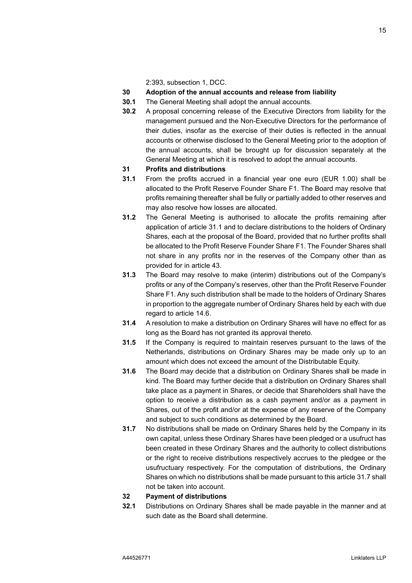2:393, subsection 1, DCC.

- **30 Adoption of the annual accounts and release from liability**
- **30.1** The General Meeting shall adopt the annual accounts.
- **30.2** A proposal concerning release of the Executive Directors from liability for the management pursued and the Non-Executive Directors for the performance of their duties, insofar as the exercise of their duties is reflected in the annual accounts or otherwise disclosed to the General Meeting prior to the adoption of the annual accounts, shall be brought up for discussion separately at the General Meeting at which it is resolved to adopt the annual accounts.

#### **31 Profits and distributions**

- <span id="page-15-0"></span>**31.1** From the profits accrued in a financial year one euro (EUR 1.00) shall be allocated to the Profit Reserve Founder Share F1. The Board may resolve that profits remaining thereafter shall be fully or partially added to other reserves and may also resolve how losses are allocated.
- **31.2** The General Meeting is authorised to allocate the profits remaining after application of article [31.1](#page-15-0) and to declare distributions to the holders of Ordinary Shares, each at the proposal of the Board, provided that no further profits shall be allocated to the Profit Reserve Founder Share F1. The Founder Shares shall not share in any profits nor in the reserves of the Company other than as provided for in article [43.](#page-21-0)
- **31.3** The Board may resolve to make (interim) distributions out of the Company's profits or any of the Company's reserves, other than the Profit Reserve Founder Share F1. Any such distribution shall be made to the holders of Ordinary Shares in proportion to the aggregate number of Ordinary Shares held by each with due regard to article [14.6.](#page-8-1)
- **31.4** A resolution to make a distribution on Ordinary Shares will have no effect for as long as the Board has not granted its approval thereto.
- **31.5** If the Company is required to maintain reserves pursuant to the laws of the Netherlands, distributions on Ordinary Shares may be made only up to an amount which does not exceed the amount of the Distributable Equity.
- **31.6** The Board may decide that a distribution on Ordinary Shares shall be made in kind. The Board may further decide that a distribution on Ordinary Shares shall take place as a payment in Shares, or decide that Shareholders shall have the option to receive a distribution as a cash payment and/or as a payment in Shares, out of the profit and/or at the expense of any reserve of the Company and subject to such conditions as determined by the Board.
- <span id="page-15-1"></span>**31.7** No distributions shall be made on Ordinary Shares held by the Company in its own capital, unless these Ordinary Shares have been pledged or a usufruct has been created in these Ordinary Shares and the authority to collect distributions or the right to receive distributions respectively accrues to the pledgee or the usufructuary respectively. For the computation of distributions, the Ordinary Shares on which no distributions shall be made pursuant to this article [31.7](#page-15-1) shall not be taken into account.

## **32 Payment of distributions**

**32.1** Distributions on Ordinary Shares shall be made payable in the manner and at such date as the Board shall determine.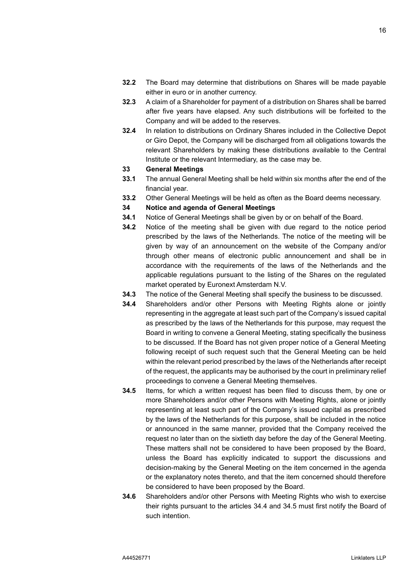- **32.2** The Board may determine that distributions on Shares will be made payable either in euro or in another currency.
- **32.3** A claim of a Shareholder for payment of a distribution on Shares shall be barred after five years have elapsed. Any such distributions will be forfeited to the Company and will be added to the reserves.
- **32.4** In relation to distributions on Ordinary Shares included in the Collective Depot or Giro Depot, the Company will be discharged from all obligations towards the relevant Shareholders by making these distributions available to the Central Institute or the relevant Intermediary, as the case may be.

#### **33 General Meetings**

- **33.1** The annual General Meeting shall be held within six months after the end of the financial year.
- **33.2** Other General Meetings will be held as often as the Board deems necessary.

#### <span id="page-16-0"></span>**34 Notice and agenda of General Meetings**

- <span id="page-16-4"></span>**34.1** Notice of General Meetings shall be given by or on behalf of the Board.
- <span id="page-16-3"></span>**34.2** Notice of the meeting shall be given with due regard to the notice period prescribed by the laws of the Netherlands. The notice of the meeting will be given by way of an announcement on the website of the Company and/or through other means of electronic public announcement and shall be in accordance with the requirements of the laws of the Netherlands and the applicable regulations pursuant to the listing of the Shares on the regulated market operated by Euronext Amsterdam N.V.
- **34.3** The notice of the General Meeting shall specify the business to be discussed.
- <span id="page-16-1"></span>**34.4** Shareholders and/or other Persons with Meeting Rights alone or jointly representing in the aggregate at least such part of the Company's issued capital as prescribed by the laws of the Netherlands for this purpose, may request the Board in writing to convene a General Meeting, stating specifically the business to be discussed. If the Board has not given proper notice of a General Meeting following receipt of such request such that the General Meeting can be held within the relevant period prescribed by the laws of the Netherlands after receipt of the request, the applicants may be authorised by the court in preliminary relief proceedings to convene a General Meeting themselves.
- <span id="page-16-2"></span>**34.5** Items, for which a written request has been filed to discuss them, by one or more Shareholders and/or other Persons with Meeting Rights, alone or jointly representing at least such part of the Company's issued capital as prescribed by the laws of the Netherlands for this purpose, shall be included in the notice or announced in the same manner, provided that the Company received the request no later than on the sixtieth day before the day of the General Meeting. These matters shall not be considered to have been proposed by the Board, unless the Board has explicitly indicated to support the discussions and decision-making by the General Meeting on the item concerned in the agenda or the explanatory notes thereto, and that the item concerned should therefore be considered to have been proposed by the Board.
- <span id="page-16-5"></span>**34.6** Shareholders and/or other Persons with Meeting Rights who wish to exercise their rights pursuant to the articles [34.4](#page-16-1) and [34.5](#page-16-2) must first notify the Board of such intention.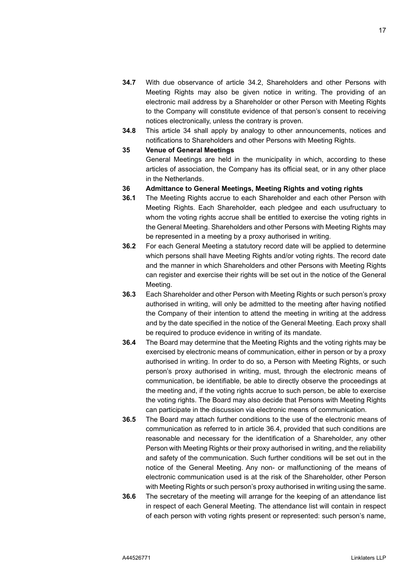- **34.7** With due observance of article [34.2,](#page-16-3) Shareholders and other Persons with Meeting Rights may also be given notice in writing. The providing of an electronic mail address by a Shareholder or other Person with Meeting Rights to the Company will constitute evidence of that person's consent to receiving notices electronically, unless the contrary is proven.
- **34.8** This article [34](#page-16-0) shall apply by analogy to other announcements, notices and notifications to Shareholders and other Persons with Meeting Rights.

#### <span id="page-17-6"></span>**35 Venue of General Meetings**

General Meetings are held in the municipality in which, according to these articles of association, the Company has its official seat, or in any other place in the Netherlands.

- <span id="page-17-1"></span>**36 Admittance to General Meetings, Meeting Rights and voting rights**
- <span id="page-17-3"></span>**36.1** The Meeting Rights accrue to each Shareholder and each other Person with Meeting Rights. Each Shareholder, each pledgee and each usufructuary to whom the voting rights accrue shall be entitled to exercise the voting rights in the General Meeting. Shareholders and other Persons with Meeting Rights may be represented in a meeting by a proxy authorised in writing.
- <span id="page-17-2"></span>**36.2** For each General Meeting a statutory record date will be applied to determine which persons shall have Meeting Rights and/or voting rights. The record date and the manner in which Shareholders and other Persons with Meeting Rights can register and exercise their rights will be set out in the notice of the General Meeting.
- <span id="page-17-4"></span>**36.3** Each Shareholder and other Person with Meeting Rights or such person's proxy authorised in writing, will only be admitted to the meeting after having notified the Company of their intention to attend the meeting in writing at the address and by the date specified in the notice of the General Meeting. Each proxy shall be required to produce evidence in writing of its mandate.
- <span id="page-17-0"></span>**36.4** The Board may determine that the Meeting Rights and the voting rights may be exercised by electronic means of communication, either in person or by a proxy authorised in writing. In order to do so, a Person with Meeting Rights, or such person's proxy authorised in writing, must, through the electronic means of communication, be identifiable, be able to directly observe the proceedings at the meeting and, if the voting rights accrue to such person, be able to exercise the voting rights. The Board may also decide that Persons with Meeting Rights can participate in the discussion via electronic means of communication.
- <span id="page-17-5"></span>**36.5** The Board may attach further conditions to the use of the electronic means of communication as referred to in article [36.4,](#page-17-0) provided that such conditions are reasonable and necessary for the identification of a Shareholder, any other Person with Meeting Rights or their proxy authorised in writing, and the reliability and safety of the communication. Such further conditions will be set out in the notice of the General Meeting. Any non- or malfunctioning of the means of electronic communication used is at the risk of the Shareholder, other Person with Meeting Rights or such person's proxy authorised in writing using the same.
- **36.6** The secretary of the meeting will arrange for the keeping of an attendance list in respect of each General Meeting. The attendance list will contain in respect of each person with voting rights present or represented: such person's name,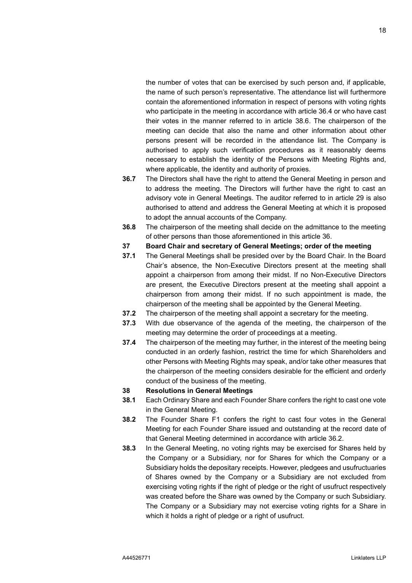the number of votes that can be exercised by such person and, if applicable, the name of such person's representative. The attendance list will furthermore contain the aforementioned information in respect of persons with voting rights who participate in the meeting in accordance with article [36.4](#page-17-0) or who have cast their votes in the manner referred to in article [38.6.](#page-19-0) The chairperson of the meeting can decide that also the name and other information about other persons present will be recorded in the attendance list. The Company is authorised to apply such verification procedures as it reasonably deems necessary to establish the identity of the Persons with Meeting Rights and, where applicable, the identity and authority of proxies.

- **36.7** The Directors shall have the right to attend the General Meeting in person and to address the meeting. The Directors will further have the right to cast an advisory vote in General Meetings. The auditor referred to in article [29](#page-14-1) is also authorised to attend and address the General Meeting at which it is proposed to adopt the annual accounts of the Company.
- **36.8** The chairperson of the meeting shall decide on the admittance to the meeting of other persons than those aforementioned in this article [36.](#page-17-1)
- <span id="page-18-1"></span>**37 Board Chair and secretary of General Meetings; order of the meeting**
- **37.1** The General Meetings shall be presided over by the Board Chair. In the Board Chair's absence, the Non-Executive Directors present at the meeting shall appoint a chairperson from among their midst. If no Non-Executive Directors are present, the Executive Directors present at the meeting shall appoint a chairperson from among their midst. If no such appointment is made, the chairperson of the meeting shall be appointed by the General Meeting.
- **37.2** The chairperson of the meeting shall appoint a secretary for the meeting.
- **37.3** With due observance of the agenda of the meeting, the chairperson of the meeting may determine the order of proceedings at a meeting.
- **37.4** The chairperson of the meeting may further, in the interest of the meeting being conducted in an orderly fashion, restrict the time for which Shareholders and other Persons with Meeting Rights may speak, and/or take other measures that the chairperson of the meeting considers desirable for the efficient and orderly conduct of the business of the meeting.

#### **38 Resolutions in General Meetings**

- **38.1** Each Ordinary Share and each Founder Share confers the right to cast one vote in the General Meeting.
- **38.2** The Founder Share F1 confers the right to cast four votes in the General Meeting for each Founder Share issued and outstanding at the record date of that General Meeting determined in accordance with article [36.2.](#page-17-2)
- <span id="page-18-0"></span>**38.3** In the General Meeting, no voting rights may be exercised for Shares held by the Company or a Subsidiary, nor for Shares for which the Company or a Subsidiary holds the depositary receipts. However, pledgees and usufructuaries of Shares owned by the Company or a Subsidiary are not excluded from exercising voting rights if the right of pledge or the right of usufruct respectively was created before the Share was owned by the Company or such Subsidiary. The Company or a Subsidiary may not exercise voting rights for a Share in which it holds a right of pledge or a right of usufruct.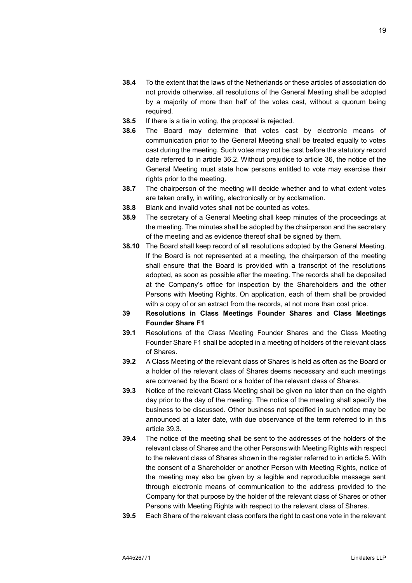- **38.4** To the extent that the laws of the Netherlands or these articles of association do not provide otherwise, all resolutions of the General Meeting shall be adopted by a majority of more than half of the votes cast, without a quorum being required.
- <span id="page-19-3"></span>**38.5** If there is a tie in voting, the proposal is rejected.
- <span id="page-19-0"></span>**38.6** The Board may determine that votes cast by electronic means of communication prior to the General Meeting shall be treated equally to votes cast during the meeting. Such votes may not be cast before the statutory record date referred to in article [36.2.](#page-17-2) Without prejudice to article [36,](#page-17-1) the notice of the General Meeting must state how persons entitled to vote may exercise their rights prior to the meeting.
- **38.7** The chairperson of the meeting will decide whether and to what extent votes are taken orally, in writing, electronically or by acclamation.
- **38.8** Blank and invalid votes shall not be counted as votes.
- <span id="page-19-5"></span>**38.9** The secretary of a General Meeting shall keep minutes of the proceedings at the meeting. The minutes shall be adopted by the chairperson and the secretary of the meeting and as evidence thereof shall be signed by them.
- <span id="page-19-4"></span>**38.10** The Board shall keep record of all resolutions adopted by the General Meeting. If the Board is not represented at a meeting, the chairperson of the meeting shall ensure that the Board is provided with a transcript of the resolutions adopted, as soon as possible after the meeting. The records shall be deposited at the Company's office for inspection by the Shareholders and the other Persons with Meeting Rights. On application, each of them shall be provided with a copy of or an extract from the records, at not more than cost price.
- <span id="page-19-2"></span>**39 Resolutions in Class Meetings Founder Shares and Class Meetings Founder Share F1**
- **39.1** Resolutions of the Class Meeting Founder Shares and the Class Meeting Founder Share F1 shall be adopted in a meeting of holders of the relevant class of Shares.
- **39.2** A Class Meeting of the relevant class of Shares is held as often as the Board or a holder of the relevant class of Shares deems necessary and such meetings are convened by the Board or a holder of the relevant class of Shares.
- <span id="page-19-1"></span>**39.3** Notice of the relevant Class Meeting shall be given no later than on the eighth day prior to the day of the meeting. The notice of the meeting shall specify the business to be discussed. Other business not specified in such notice may be announced at a later date, with due observance of the term referred to in this article [39.3.](#page-19-1)
- **39.4** The notice of the meeting shall be sent to the addresses of the holders of the relevant class of Shares and the other Persons with Meeting Rights with respect to the relevant class of Shares shown in the register referred to in article [5.](#page-5-4) With the consent of a Shareholder or another Person with Meeting Rights, notice of the meeting may also be given by a legible and reproducible message sent through electronic means of communication to the address provided to the Company for that purpose by the holder of the relevant class of Shares or other Persons with Meeting Rights with respect to the relevant class of Shares.
- **39.5** Each Share of the relevant class confers the right to cast one vote in the relevant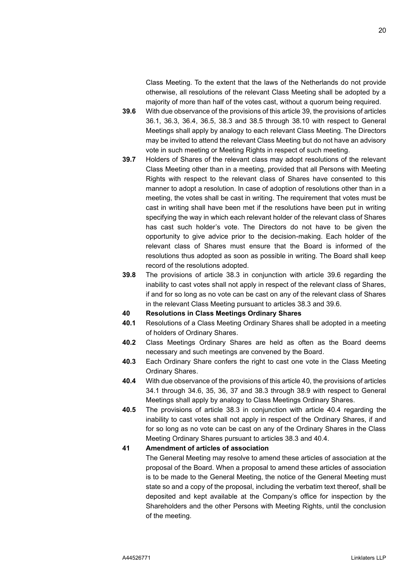Class Meeting. To the extent that the laws of the Netherlands do not provide otherwise, all resolutions of the relevant Class Meeting shall be adopted by a majority of more than half of the votes cast, without a quorum being required.

- <span id="page-20-0"></span>**39.6** With due observance of the provisions of this articl[e 39,](#page-19-2) the provisions of articles [36.1,](#page-17-3) [36.3,](#page-17-4) [36.4,](#page-17-0) [36.5,](#page-17-5) [38.3](#page-18-0) and [38.5](#page-19-3) through [38.10](#page-19-4) with respect to General Meetings shall apply by analogy to each relevant Class Meeting. The Directors may be invited to attend the relevant Class Meeting but do not have an advisory vote in such meeting or Meeting Rights in respect of such meeting.
- **39.7** Holders of Shares of the relevant class may adopt resolutions of the relevant Class Meeting other than in a meeting, provided that all Persons with Meeting Rights with respect to the relevant class of Shares have consented to this manner to adopt a resolution. In case of adoption of resolutions other than in a meeting, the votes shall be cast in writing. The requirement that votes must be cast in writing shall have been met if the resolutions have been put in writing specifying the way in which each relevant holder of the relevant class of Shares has cast such holder's vote. The Directors do not have to be given the opportunity to give advice prior to the decision-making. Each holder of the relevant class of Shares must ensure that the Board is informed of the resolutions thus adopted as soon as possible in writing. The Board shall keep record of the resolutions adopted.
- **39.8** The provisions of article [38.3](#page-18-0) in conjunction with article [39.6](#page-20-0) regarding the inability to cast votes shall not apply in respect of the relevant class of Shares, if and for so long as no vote can be cast on any of the relevant class of Shares in the relevant Class Meeting pursuant to articles [38.3](#page-18-0) and [39.6.](#page-20-0)
- <span id="page-20-1"></span>**40 Resolutions in Class Meetings Ordinary Shares**
- **40.1** Resolutions of a Class Meeting Ordinary Shares shall be adopted in a meeting of holders of Ordinary Shares.
- **40.2** Class Meetings Ordinary Shares are held as often as the Board deems necessary and such meetings are convened by the Board.
- **40.3** Each Ordinary Share confers the right to cast one vote in the Class Meeting Ordinary Shares.
- <span id="page-20-2"></span>**40.4** With due observance of the provisions of this articl[e 40,](#page-20-1) the provisions of articles [34.1](#page-16-4) through [34.6,](#page-16-5) [35,](#page-17-6) [36,](#page-17-1) [37](#page-18-1) and [38.3](#page-18-0) through [38.9](#page-19-5) with respect to General Meetings shall apply by analogy to Class Meetings Ordinary Shares.
- **40.5** The provisions of article [38.3](#page-18-0) in conjunction with article [40.4](#page-20-2) regarding the inability to cast votes shall not apply in respect of the Ordinary Shares, if and for so long as no vote can be cast on any of the Ordinary Shares in the Class Meeting Ordinary Shares pursuant to articles [38.3](#page-18-0) and [40.4.](#page-20-2)

## **41 Amendment of articles of association**

The General Meeting may resolve to amend these articles of association at the proposal of the Board. When a proposal to amend these articles of association is to be made to the General Meeting, the notice of the General Meeting must state so and a copy of the proposal, including the verbatim text thereof, shall be deposited and kept available at the Company's office for inspection by the Shareholders and the other Persons with Meeting Rights, until the conclusion of the meeting.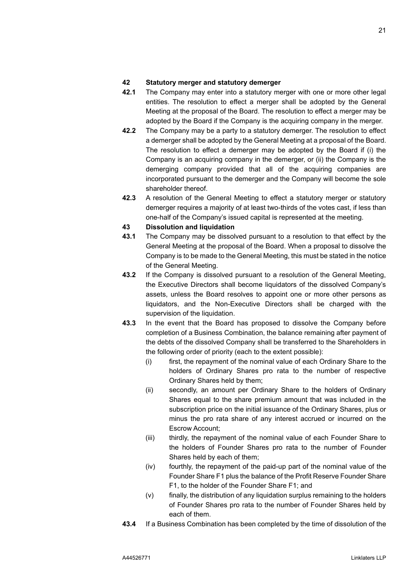### **42 Statutory merger and statutory demerger**

- **42.1** The Company may enter into a statutory merger with one or more other legal entities. The resolution to effect a merger shall be adopted by the General Meeting at the proposal of the Board. The resolution to effect a merger may be adopted by the Board if the Company is the acquiring company in the merger.
- **42.2** The Company may be a party to a statutory demerger. The resolution to effect a demerger shall be adopted by the General Meeting at a proposal of the Board. The resolution to effect a demerger may be adopted by the Board if (i) the Company is an acquiring company in the demerger, or (ii) the Company is the demerging company provided that all of the acquiring companies are incorporated pursuant to the demerger and the Company will become the sole shareholder thereof.
- **42.3** A resolution of the General Meeting to effect a statutory merger or statutory demerger requires a majority of at least two-thirds of the votes cast, if less than one-half of the Company's issued capital is represented at the meeting.

#### <span id="page-21-0"></span>**43 Dissolution and liquidation**

- **43.1** The Company may be dissolved pursuant to a resolution to that effect by the General Meeting at the proposal of the Board. When a proposal to dissolve the Company is to be made to the General Meeting, this must be stated in the notice of the General Meeting.
- **43.2** If the Company is dissolved pursuant to a resolution of the General Meeting, the Executive Directors shall become liquidators of the dissolved Company's assets, unless the Board resolves to appoint one or more other persons as liquidators, and the Non-Executive Directors shall be charged with the supervision of the liquidation.
- **43.3** In the event that the Board has proposed to dissolve the Company before completion of a Business Combination, the balance remaining after payment of the debts of the dissolved Company shall be transferred to the Shareholders in the following order of priority (each to the extent possible):
	- (i) first, the repayment of the nominal value of each Ordinary Share to the holders of Ordinary Shares pro rata to the number of respective Ordinary Shares held by them;
	- (ii) secondly, an amount per Ordinary Share to the holders of Ordinary Shares equal to the share premium amount that was included in the subscription price on the initial issuance of the Ordinary Shares, plus or minus the pro rata share of any interest accrued or incurred on the Escrow Account;
	- (iii) thirdly, the repayment of the nominal value of each Founder Share to the holders of Founder Shares pro rata to the number of Founder Shares held by each of them;
	- (iv) fourthly, the repayment of the paid-up part of the nominal value of the Founder Share F1 plus the balance of the Profit Reserve Founder Share F1, to the holder of the Founder Share F1; and
	- (v) finally, the distribution of any liquidation surplus remaining to the holders of Founder Shares pro rata to the number of Founder Shares held by each of them.
- **43.4** If a Business Combination has been completed by the time of dissolution of the